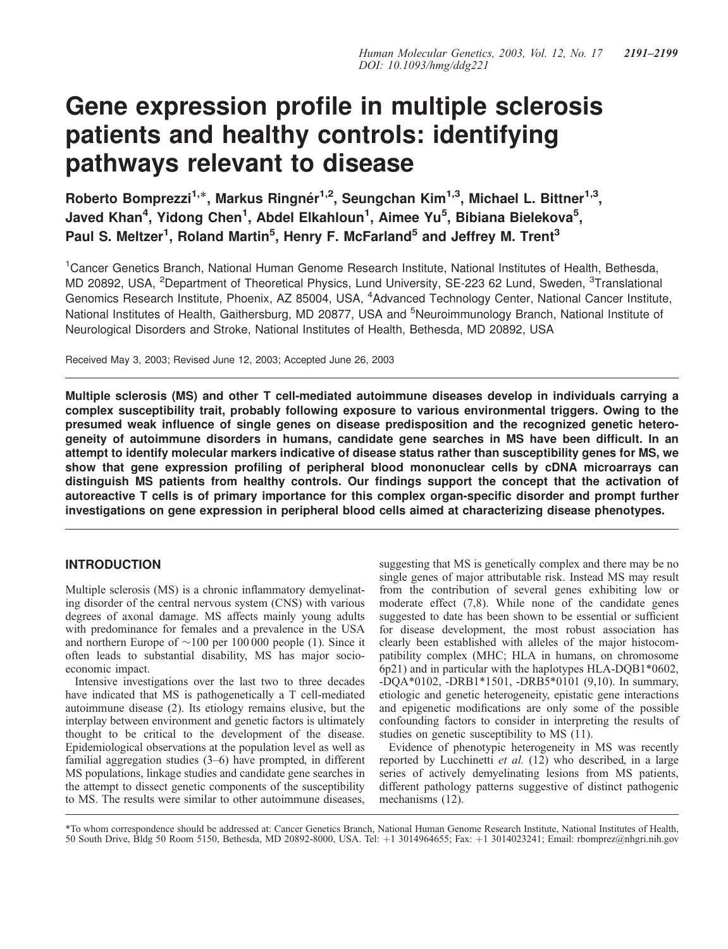# Gene expression profile in multiple sclerosis patients and healthy controls: identifying pathways relevant to disease

Roberto Bomprezzi<sup>1,\*</sup>, Markus Ringnér<sup>1,2</sup>, Seungchan Kim<sup>1,3</sup>, Michael L. Bittner<sup>1,3</sup>, Javed Khan<sup>4</sup>, Yidong Chen<sup>1</sup>, Abdel Elkahloun<sup>1</sup>, Aimee Yu<sup>5</sup>, Bibiana Bielekova<sup>5</sup>, Paul S. Meltzer<sup>1</sup>, Roland Martin<sup>5</sup>, Henry F. McFarland<sup>5</sup> and Jeffrey M. Trent<sup>3</sup>

<sup>1</sup>Cancer Genetics Branch, National Human Genome Research Institute, National Institutes of Health, Bethesda, MD 20892, USA, <sup>2</sup>Department of Theoretical Physics, Lund University, SE-223 62 Lund, Sweden, <sup>3</sup>Translational Genomics Research Institute, Phoenix, AZ 85004, USA, <sup>4</sup>Advanced Technology Center, National Cancer Institute, National Institutes of Health, Gaithersburg, MD 20877, USA and <sup>5</sup>Neuroimmunology Branch, National Institute of Neurological Disorders and Stroke, National Institutes of Health, Bethesda, MD 20892, USA

Received May 3, 2003; Revised June 12, 2003; Accepted June 26, 2003

Multiple sclerosis (MS) and other T cell-mediated autoimmune diseases develop in individuals carrying a complex susceptibility trait, probably following exposure to various environmental triggers. Owing to the presumed weak influence of single genes on disease predisposition and the recognized genetic heterogeneity of autoimmune disorders in humans, candidate gene searches in MS have been difficult. In an attempt to identify molecular markers indicative of disease status rather than susceptibility genes for MS, we show that gene expression profiling of peripheral blood mononuclear cells by cDNA microarrays can distinguish MS patients from healthy controls. Our findings support the concept that the activation of autoreactive T cells is of primary importance for this complex organ-specific disorder and prompt further investigations on gene expression in peripheral blood cells aimed at characterizing disease phenotypes.

# INTRODUCTION

Multiple sclerosis (MS) is a chronic inflammatory demyelinating disorder of the central nervous system (CNS) with various degrees of axonal damage. MS affects mainly young adults with predominance for females and a prevalence in the USA and northern Europe of  $\sim$ 100 per 100 000 people (1). Since it often leads to substantial disability, MS has major socioeconomic impact.

Intensive investigations over the last two to three decades have indicated that MS is pathogenetically a T cell-mediated autoimmune disease (2). Its etiology remains elusive, but the interplay between environment and genetic factors is ultimately thought to be critical to the development of the disease. Epidemiological observations at the population level as well as familial aggregation studies (3–6) have prompted, in different MS populations, linkage studies and candidate gene searches in the attempt to dissect genetic components of the susceptibility to MS. The results were similar to other autoimmune diseases,

suggesting that MS is genetically complex and there may be no single genes of major attributable risk. Instead MS may result from the contribution of several genes exhibiting low or moderate effect (7,8). While none of the candidate genes suggested to date has been shown to be essential or sufficient for disease development, the most robust association has clearly been established with alleles of the major histocompatibility complex (MHC; HLA in humans, on chromosome 6p21) and in particular with the haplotypes HLA-DQB1\*0602, -DQA\*0102, -DRB1\*1501, -DRB5\*0101 (9,10). In summary, etiologic and genetic heterogeneity, epistatic gene interactions and epigenetic modifications are only some of the possible confounding factors to consider in interpreting the results of studies on genetic susceptibility to MS (11).

Evidence of phenotypic heterogeneity in MS was recently reported by Lucchinetti et al. (12) who described, in a large series of actively demyelinating lesions from MS patients, different pathology patterns suggestive of distinct pathogenic mechanisms (12).

\*To whom correspondence should be addressed at: Cancer Genetics Branch, National Human Genome Research Institute, National Institutes of Health, 50 South Drive, Bldg 50 Room 5150, Bethesda, MD 20892-8000, USA. Tel: +1 3014964655; Fax: +1 3014023241; Email: rbomprez@nhgri.nih.gov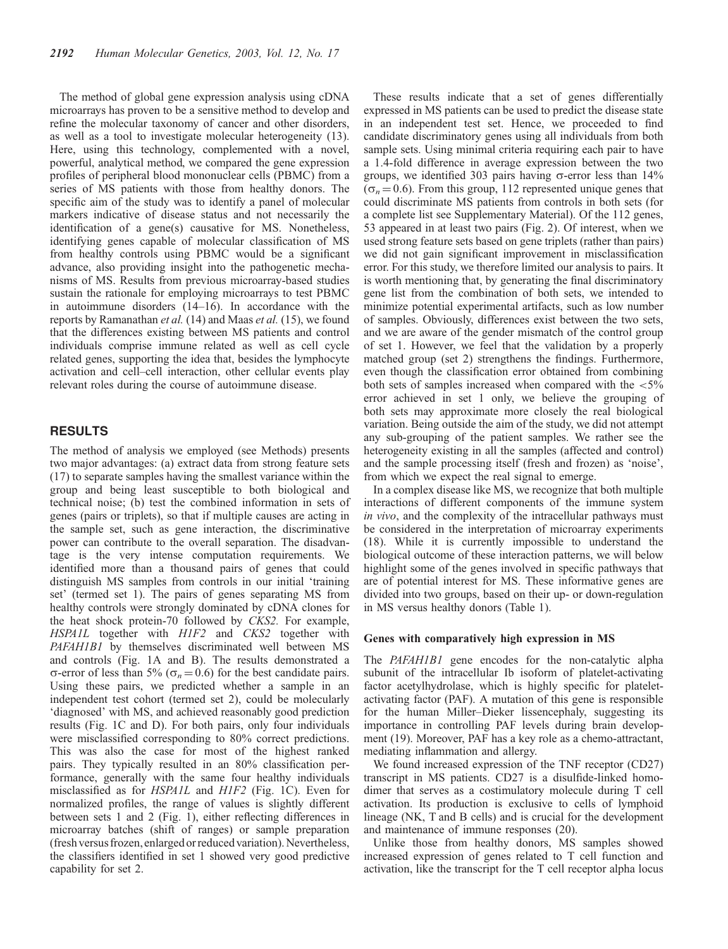The method of global gene expression analysis using cDNA microarrays has proven to be a sensitive method to develop and refine the molecular taxonomy of cancer and other disorders, as well as a tool to investigate molecular heterogeneity (13). Here, using this technology, complemented with a novel, powerful, analytical method, we compared the gene expression profiles of peripheral blood mononuclear cells (PBMC) from a series of MS patients with those from healthy donors. The specific aim of the study was to identify a panel of molecular markers indicative of disease status and not necessarily the identification of a gene(s) causative for MS. Nonetheless, identifying genes capable of molecular classification of MS from healthy controls using PBMC would be a significant advance, also providing insight into the pathogenetic mechanisms of MS. Results from previous microarray-based studies sustain the rationale for employing microarrays to test PBMC in autoimmune disorders (14–16). In accordance with the reports by Ramanathan et al. (14) and Maas et al. (15), we found that the differences existing between MS patients and control individuals comprise immune related as well as cell cycle related genes, supporting the idea that, besides the lymphocyte activation and cell–cell interaction, other cellular events play relevant roles during the course of autoimmune disease.

## RESULTS

The method of analysis we employed (see Methods) presents two major advantages: (a) extract data from strong feature sets (17) to separate samples having the smallest variance within the group and being least susceptible to both biological and technical noise; (b) test the combined information in sets of genes (pairs or triplets), so that if multiple causes are acting in the sample set, such as gene interaction, the discriminative power can contribute to the overall separation. The disadvantage is the very intense computation requirements. We identified more than a thousand pairs of genes that could distinguish MS samples from controls in our initial 'training set' (termed set 1). The pairs of genes separating MS from healthy controls were strongly dominated by cDNA clones for the heat shock protein-70 followed by CKS2. For example, HSPA1L together with H1F2 and CKS2 together with PAFAH1B1 by themselves discriminated well between MS and controls (Fig. 1A and B). The results demonstrated a  $\sigma$ -error of less than 5% ( $\sigma_n = 0.6$ ) for the best candidate pairs. Using these pairs, we predicted whether a sample in an independent test cohort (termed set 2), could be molecularly 'diagnosed' with MS, and achieved reasonably good prediction results (Fig. 1C and D). For both pairs, only four individuals were misclassified corresponding to 80% correct predictions. This was also the case for most of the highest ranked pairs. They typically resulted in an 80% classification performance, generally with the same four healthy individuals misclassified as for HSPA1L and H1F2 (Fig. 1C). Even for normalized profiles, the range of values is slightly different between sets 1 and 2 (Fig. 1), either reflecting differences in microarray batches (shift of ranges) or sample preparation (fresh versus frozen, enlarged or reduced variation). Nevertheless, the classifiers identified in set 1 showed very good predictive capability for set 2.

These results indicate that a set of genes differentially expressed in MS patients can be used to predict the disease state in an independent test set. Hence, we proceeded to find candidate discriminatory genes using all individuals from both sample sets. Using minimal criteria requiring each pair to have a 1.4-fold difference in average expression between the two groups, we identified 303 pairs having  $\sigma$ -error less than 14%  $(\sigma_n = 0.6)$ . From this group, 112 represented unique genes that could discriminate MS patients from controls in both sets (for a complete list see Supplementary Material). Of the 112 genes, 53 appeared in at least two pairs (Fig. 2). Of interest, when we used strong feature sets based on gene triplets (rather than pairs) we did not gain significant improvement in misclassification error. For this study, we therefore limited our analysis to pairs. It is worth mentioning that, by generating the final discriminatory gene list from the combination of both sets, we intended to minimize potential experimental artifacts, such as low number of samples. Obviously, differences exist between the two sets, and we are aware of the gender mismatch of the control group of set 1. However, we feel that the validation by a properly matched group (set 2) strengthens the findings. Furthermore, even though the classification error obtained from combining both sets of samples increased when compared with the *<*5% error achieved in set 1 only, we believe the grouping of both sets may approximate more closely the real biological variation. Being outside the aim of the study, we did not attempt any sub-grouping of the patient samples. We rather see the heterogeneity existing in all the samples (affected and control) and the sample processing itself (fresh and frozen) as 'noise', from which we expect the real signal to emerge.

In a complex disease like MS, we recognize that both multiple interactions of different components of the immune system in vivo, and the complexity of the intracellular pathways must be considered in the interpretation of microarray experiments (18). While it is currently impossible to understand the biological outcome of these interaction patterns, we will below highlight some of the genes involved in specific pathways that are of potential interest for MS. These informative genes are divided into two groups, based on their up- or down-regulation in MS versus healthy donors (Table 1).

#### Genes with comparatively high expression in MS

The PAFAH1B1 gene encodes for the non-catalytic alpha subunit of the intracellular Ib isoform of platelet-activating factor acetylhydrolase, which is highly specific for plateletactivating factor (PAF). A mutation of this gene is responsible for the human Miller–Dieker lissencephaly, suggesting its importance in controlling PAF levels during brain development (19). Moreover, PAF has a key role as a chemo-attractant, mediating inflammation and allergy.

We found increased expression of the TNF receptor (CD27) transcript in MS patients. CD27 is a disulfide-linked homodimer that serves as a costimulatory molecule during T cell activation. Its production is exclusive to cells of lymphoid lineage (NK, T and B cells) and is crucial for the development and maintenance of immune responses (20).

Unlike those from healthy donors, MS samples showed increased expression of genes related to T cell function and activation, like the transcript for the T cell receptor alpha locus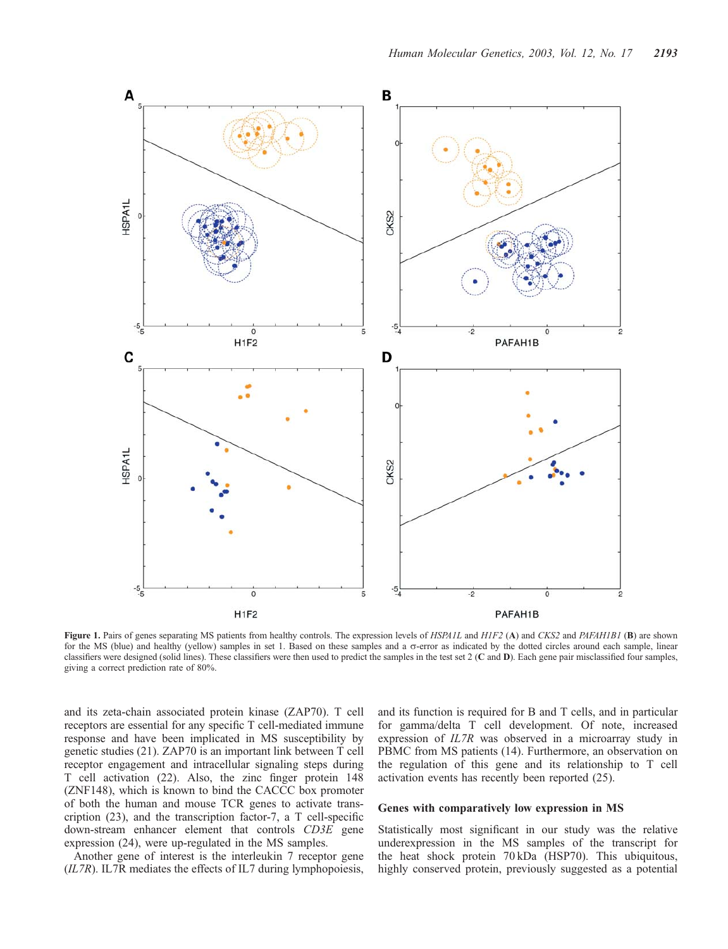

Figure 1. Pairs of genes separating MS patients from healthy controls. The expression levels of HSPA1L and H1F2 (A) and CKS2 and PAFAH1B1 (B) are shown for the MS (blue) and healthy (yellow) samples in set 1. Based on these samples and a s-error as indicated by the dotted circles around each sample, linear classifiers were designed (solid lines). These classifiers were then used to predict the samples in the test set 2 (C and D). Each gene pair misclassified four samples, giving a correct prediction rate of 80%.

and its zeta-chain associated protein kinase (ZAP70). T cell receptors are essential for any specific T cell-mediated immune response and have been implicated in MS susceptibility by genetic studies (21). ZAP70 is an important link between T cell receptor engagement and intracellular signaling steps during T cell activation (22). Also, the zinc finger protein 148 (ZNF148), which is known to bind the CACCC box promoter of both the human and mouse TCR genes to activate transcription (23), and the transcription factor-7, a T cell-specific down-stream enhancer element that controls CD3E gene expression (24), were up-regulated in the MS samples.

Another gene of interest is the interleukin 7 receptor gene  $(IL7R)$ . IL7R mediates the effects of IL7 during lymphopoiesis, and its function is required for B and T cells, and in particular for gamma/delta T cell development. Of note, increased expression of IL7R was observed in a microarray study in PBMC from MS patients (14). Furthermore, an observation on the regulation of this gene and its relationship to T cell activation events has recently been reported (25).

#### Genes with comparatively low expression in MS

Statistically most significant in our study was the relative underexpression in the MS samples of the transcript for the heat shock protein 70 kDa (HSP70). This ubiquitous, highly conserved protein, previously suggested as a potential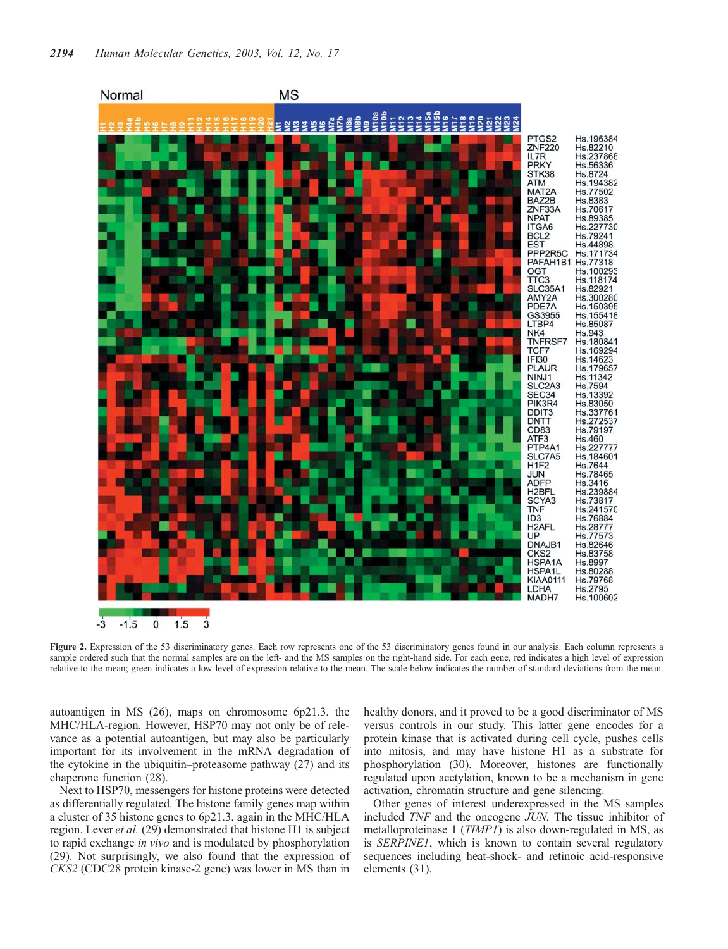

Figure 2. Expression of the 53 discriminatory genes. Each row represents one of the 53 discriminatory genes found in our analysis. Each column represents a sample ordered such that the normal samples are on the left- and the MS samples on the right-hand side. For each gene, red indicates a high level of expression relative to the mean; green indicates a low level of expression relative to the mean. The scale below indicates the number of standard deviations from the mean.

autoantigen in MS (26), maps on chromosome 6p21.3, the MHC/HLA-region. However, HSP70 may not only be of relevance as a potential autoantigen, but may also be particularly important for its involvement in the mRNA degradation of the cytokine in the ubiquitin–proteasome pathway (27) and its chaperone function (28).

Next to HSP70, messengers for histone proteins were detected as differentially regulated. The histone family genes map within a cluster of 35 histone genes to 6p21.3, again in the MHC/HLA region. Lever et al. (29) demonstrated that histone H1 is subject to rapid exchange in vivo and is modulated by phosphorylation (29). Not surprisingly, we also found that the expression of CKS2 (CDC28 protein kinase-2 gene) was lower in MS than in healthy donors, and it proved to be a good discriminator of MS versus controls in our study. This latter gene encodes for a protein kinase that is activated during cell cycle, pushes cells into mitosis, and may have histone H1 as a substrate for phosphorylation (30). Moreover, histones are functionally regulated upon acetylation, known to be a mechanism in gene activation, chromatin structure and gene silencing.

Other genes of interest underexpressed in the MS samples included TNF and the oncogene JUN. The tissue inhibitor of metalloproteinase 1 (TIMP1) is also down-regulated in MS, as is SERPINE1, which is known to contain several regulatory sequences including heat-shock- and retinoic acid-responsive elements (31).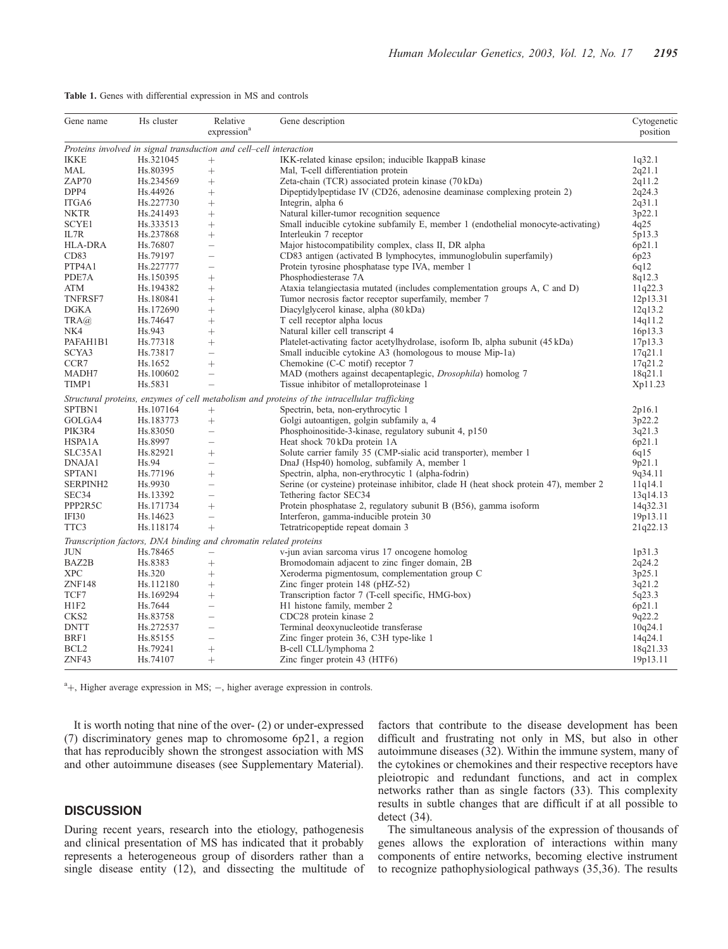|  |  |  |  | <b>Table 1.</b> Genes with differential expression in MS and controls |  |  |  |  |  |
|--|--|--|--|-----------------------------------------------------------------------|--|--|--|--|--|
|--|--|--|--|-----------------------------------------------------------------------|--|--|--|--|--|

| Gene name         | Hs cluster             | Relative                                                           | Gene description                                                                              | Cytogenetic      |
|-------------------|------------------------|--------------------------------------------------------------------|-----------------------------------------------------------------------------------------------|------------------|
|                   |                        | expression <sup>a</sup>                                            |                                                                                               | position         |
|                   |                        | Proteins involved in signal transduction and cell-cell interaction |                                                                                               |                  |
| <b>IKKE</b>       | Hs.321045              | $^{+}$                                                             | IKK-related kinase epsilon; inducible IkappaB kinase                                          | 1q32.1           |
| MAL               | Hs.80395               | $+$                                                                | Mal, T-cell differentiation protein                                                           | 2q21.1           |
| ZAP70             | Hs.234569              | $^{+}$                                                             | Zeta-chain (TCR) associated protein kinase (70 kDa)                                           |                  |
| DPP4              | Hs.44926               | $^{+}$                                                             | Dipeptidylpeptidase IV (CD26, adenosine deaminase complexing protein 2)                       |                  |
| ITGA6             | Hs.227730              | $^{+}$                                                             | Integrin, alpha 6                                                                             |                  |
| <b>NKTR</b>       | Hs.241493              | $^{+}$                                                             | Natural killer-tumor recognition sequence                                                     | 2q31.1<br>3p22.1 |
| SCYE1             | Hs.333513              | $^{+}$                                                             | Small inducible cytokine subfamily E, member 1 (endothelial monocyte-activating)              | 4q25             |
| IL7R              | Hs.237868              | $^{+}$                                                             | Interleukin 7 receptor                                                                        | 5p13.3           |
| <b>HLA-DRA</b>    | Hs.76807               | $\qquad \qquad -$                                                  | Major histocompatibility complex, class II, DR alpha                                          |                  |
| CD83              | Hs.79197               | $\equiv$                                                           | CD83 antigen (activated B lymphocytes, immunoglobulin superfamily)                            | 6p23             |
| PTP4A1            | Hs.227777              | $\qquad \qquad -$                                                  | Protein tyrosine phosphatase type IVA, member 1                                               | 6q12             |
| PDE7A             | Hs.150395              | $^{+}$                                                             | Phosphodiesterase 7A                                                                          | 8q12.3           |
| ATM               | Hs.194382              | $^{+}$                                                             | Ataxia telangiectasia mutated (includes complementation groups A, C and D)                    | 11q22.3          |
| TNFRSF7           | Hs.180841              | $^{+}$                                                             | Tumor necrosis factor receptor superfamily, member 7                                          | 12p13.31         |
| <b>DGKA</b>       | Hs.172690              | $^{+}$                                                             | Diacylglycerol kinase, alpha (80 kDa)                                                         | 12q13.2          |
| TRA@              | Hs.74647               | $^{+}$                                                             | T cell receptor alpha locus                                                                   | 14q11.2          |
| NK4               | Hs.943                 | $^{+}$                                                             | Natural killer cell transcript 4                                                              | 16p13.3          |
| PAFAH1B1          | Hs.77318               | $^{+}$                                                             | Platelet-activating factor acetylhydrolase, isoform Ib, alpha subunit (45 kDa)                | 17p13.3          |
| SCYA3             | Hs.73817               |                                                                    | Small inducible cytokine A3 (homologous to mouse Mip-1a)                                      | 17q21.1          |
| CCR7              | Hs.1652                | $\ddag$                                                            | Chemokine (C-C motif) receptor 7                                                              | 17q21.2          |
| MADH7             | Hs.100602              |                                                                    | MAD (mothers against decapentaplegic, Drosophila) homolog 7                                   | 18q21.1          |
| TIMP1             | Hs.5831                |                                                                    | Tissue inhibitor of metalloproteinase 1                                                       | Xp11.23          |
|                   |                        |                                                                    | Structural proteins, enzymes of cell metabolism and proteins of the intracellular trafficking |                  |
| SPTBN1            | Hs.107164              | $^{+}$                                                             | Spectrin, beta, non-erythrocytic 1                                                            | 2p16.1           |
| GOLGA4            | Hs.183773              | $^{+}$                                                             | Golgi autoantigen, golgin subfamily a, 4                                                      | 3p22.2           |
| PIK3R4            | Hs.83050               | $\equiv$                                                           | Phosphoinositide-3-kinase, regulatory subunit 4, p150                                         | 3q21.3           |
| HSPA1A            | Hs.8997                | $\overline{\phantom{0}}$                                           | Heat shock 70 kDa protein 1A                                                                  | 6p21.1           |
| SLC35A1           | Hs.82921               | $^{+}$                                                             | Solute carrier family 35 (CMP-sialic acid transporter), member 1                              | 6q15             |
| DNAJA1            | Hs.94                  | $\qquad \qquad -$                                                  | DnaJ (Hsp40) homolog, subfamily A, member 1                                                   | 9p21.1           |
| SPTAN1            | Hs.77196               | $^{+}$                                                             | Spectrin, alpha, non-erythrocytic 1 (alpha-fodrin)                                            | 9q34.11          |
| SERPINH2          | Hs.9930                | $\equiv$                                                           | Serine (or cysteine) proteinase inhibitor, clade H (heat shock protein 47), member 2          | 11q14.1          |
| SEC <sub>34</sub> | Hs.13392               |                                                                    | Tethering factor SEC34                                                                        | 13q14.13         |
| PPP2R5C           | Hs.171734              | $^{+}$                                                             | Protein phosphatase 2, regulatory subunit B (B56), gamma isoform                              | 14q32.31         |
| IFI30             | Hs.14623               | $\qquad \qquad -$                                                  | Interferon, gamma-inducible protein 30                                                        | 19p13.11         |
| TTC3              | Hs.118174              | $+$                                                                | Tetratricopeptide repeat domain 3                                                             | 21q22.13         |
|                   |                        |                                                                    |                                                                                               |                  |
| JUN               | Hs.78465               | Transcription factors, DNA binding and chromatin related proteins  | v-jun avian sarcoma virus 17 oncogene homolog                                                 | 1p31.3           |
| BAZ2B             | Hs.8383                |                                                                    | Bromodomain adjacent to zinc finger domain, 2B                                                | 2q24.2           |
| <b>XPC</b>        |                        |                                                                    | Xeroderma pigmentosum, complementation group C                                                |                  |
| <b>ZNF148</b>     | Hs.320                 | $^{+}$                                                             | Zinc finger protein 148 (pHZ-52)                                                              | 3p25.1           |
| TCF7              | Hs.112180<br>Hs.169294 | $^{+}$                                                             |                                                                                               | 3q21.2           |
|                   |                        | $^{+}$                                                             | Transcription factor 7 (T-cell specific, HMG-box)                                             | 5q23.3           |
| H1F2              | Hs.7644                | $\equiv$                                                           | H1 histone family, member 2                                                                   | 6p21.1           |
| CKS <sub>2</sub>  | Hs.83758               |                                                                    | CDC28 protein kinase 2                                                                        | 9q22.2           |
| <b>DNTT</b>       | Hs.272537              | $\qquad \qquad -$                                                  | Terminal deoxynucleotide transferase                                                          | 10q24.1          |
| BRF1              | Hs.85155               |                                                                    | Zinc finger protein 36, C3H type-like 1                                                       | 14q24.1          |
| BCL <sub>2</sub>  | Hs.79241               | $^{+}$                                                             | B-cell CLL/lymphoma 2                                                                         | 18q21.33         |
| ZNF43             | Hs.74107               | $^{+}$                                                             | Zinc finger protein 43 (HTF6)                                                                 | 19p13.11         |

<sup>a</sup>+, Higher average expression in MS; -, higher average expression in controls.

It is worth noting that nine of the over- (2) or under-expressed (7) discriminatory genes map to chromosome 6p21, a region that has reproducibly shown the strongest association with MS and other autoimmune diseases (see Supplementary Material).

## **DISCUSSION**

During recent years, research into the etiology, pathogenesis and clinical presentation of MS has indicated that it probably represents a heterogeneous group of disorders rather than a single disease entity (12), and dissecting the multitude of factors that contribute to the disease development has been difficult and frustrating not only in MS, but also in other autoimmune diseases (32). Within the immune system, many of the cytokines or chemokines and their respective receptors have pleiotropic and redundant functions, and act in complex networks rather than as single factors (33). This complexity results in subtle changes that are difficult if at all possible to detect (34).

The simultaneous analysis of the expression of thousands of genes allows the exploration of interactions within many components of entire networks, becoming elective instrument to recognize pathophysiological pathways (35,36). The results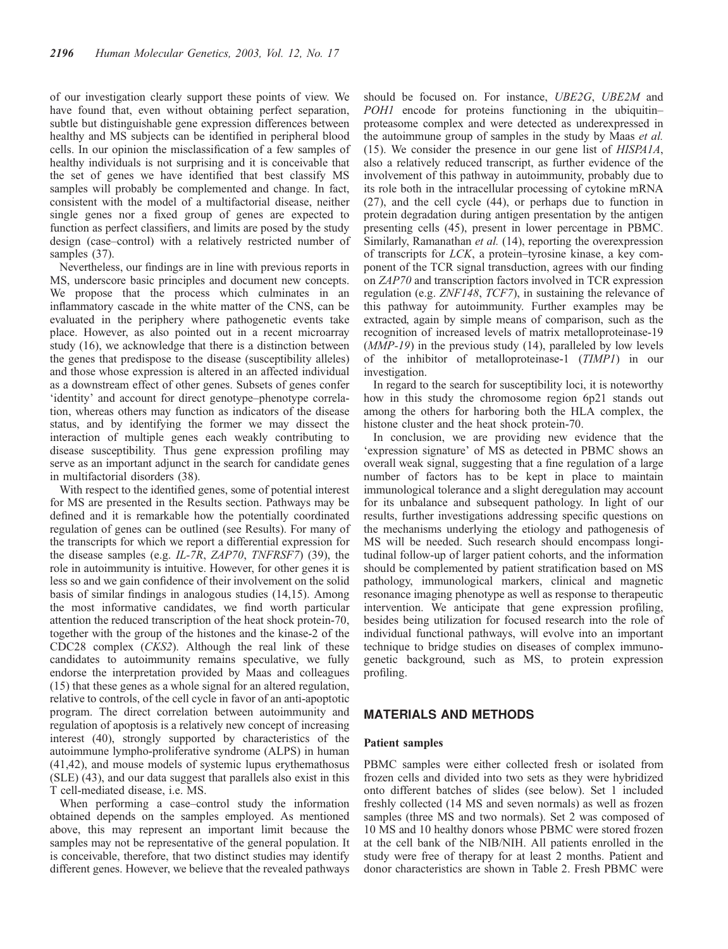of our investigation clearly support these points of view. We have found that, even without obtaining perfect separation, subtle but distinguishable gene expression differences between healthy and MS subjects can be identified in peripheral blood cells. In our opinion the misclassification of a few samples of healthy individuals is not surprising and it is conceivable that the set of genes we have identified that best classify MS samples will probably be complemented and change. In fact, consistent with the model of a multifactorial disease, neither single genes nor a fixed group of genes are expected to function as perfect classifiers, and limits are posed by the study design (case–control) with a relatively restricted number of samples (37).

Nevertheless, our findings are in line with previous reports in MS, underscore basic principles and document new concepts. We propose that the process which culminates in an inflammatory cascade in the white matter of the CNS, can be evaluated in the periphery where pathogenetic events take place. However, as also pointed out in a recent microarray study (16), we acknowledge that there is a distinction between the genes that predispose to the disease (susceptibility alleles) and those whose expression is altered in an affected individual as a downstream effect of other genes. Subsets of genes confer 'identity' and account for direct genotype–phenotype correlation, whereas others may function as indicators of the disease status, and by identifying the former we may dissect the interaction of multiple genes each weakly contributing to disease susceptibility. Thus gene expression profiling may serve as an important adjunct in the search for candidate genes in multifactorial disorders (38).

With respect to the identified genes, some of potential interest for MS are presented in the Results section. Pathways may be defined and it is remarkable how the potentially coordinated regulation of genes can be outlined (see Results). For many of the transcripts for which we report a differential expression for the disease samples (e.g. IL-7R, ZAP70, TNFRSF7) (39), the role in autoimmunity is intuitive. However, for other genes it is less so and we gain confidence of their involvement on the solid basis of similar findings in analogous studies (14,15). Among the most informative candidates, we find worth particular attention the reduced transcription of the heat shock protein-70, together with the group of the histones and the kinase-2 of the CDC28 complex (CKS2). Although the real link of these candidates to autoimmunity remains speculative, we fully endorse the interpretation provided by Maas and colleagues (15) that these genes as a whole signal for an altered regulation, relative to controls, of the cell cycle in favor of an anti-apoptotic program. The direct correlation between autoimmunity and regulation of apoptosis is a relatively new concept of increasing interest (40), strongly supported by characteristics of the autoimmune lympho-proliferative syndrome (ALPS) in human (41,42), and mouse models of systemic lupus erythemathosus (SLE) (43), and our data suggest that parallels also exist in this T cell-mediated disease, i.e. MS.

When performing a case–control study the information obtained depends on the samples employed. As mentioned above, this may represent an important limit because the samples may not be representative of the general population. It is conceivable, therefore, that two distinct studies may identify different genes. However, we believe that the revealed pathways should be focused on. For instance, UBE2G, UBE2M and POH1 encode for proteins functioning in the ubiquitin– proteasome complex and were detected as underexpressed in the autoimmune group of samples in the study by Maas et al. (15). We consider the presence in our gene list of HISPA1A, also a relatively reduced transcript, as further evidence of the involvement of this pathway in autoimmunity, probably due to its role both in the intracellular processing of cytokine mRNA (27), and the cell cycle (44), or perhaps due to function in protein degradation during antigen presentation by the antigen presenting cells (45), present in lower percentage in PBMC. Similarly, Ramanathan *et al.* (14), reporting the overexpression of transcripts for LCK, a protein–tyrosine kinase, a key component of the TCR signal transduction, agrees with our finding on ZAP70 and transcription factors involved in TCR expression regulation (e.g. ZNF148, TCF7), in sustaining the relevance of this pathway for autoimmunity. Further examples may be extracted, again by simple means of comparison, such as the recognition of increased levels of matrix metalloproteinase-19  $(MMP-19)$  in the previous study (14), paralleled by low levels of the inhibitor of metalloproteinase-1 (TIMP1) in our investigation.

In regard to the search for susceptibility loci, it is noteworthy how in this study the chromosome region 6p21 stands out among the others for harboring both the HLA complex, the histone cluster and the heat shock protein-70.

In conclusion, we are providing new evidence that the 'expression signature' of MS as detected in PBMC shows an overall weak signal, suggesting that a fine regulation of a large number of factors has to be kept in place to maintain immunological tolerance and a slight deregulation may account for its unbalance and subsequent pathology. In light of our results, further investigations addressing specific questions on the mechanisms underlying the etiology and pathogenesis of MS will be needed. Such research should encompass longitudinal follow-up of larger patient cohorts, and the information should be complemented by patient stratification based on MS pathology, immunological markers, clinical and magnetic resonance imaging phenotype as well as response to therapeutic intervention. We anticipate that gene expression profiling, besides being utilization for focused research into the role of individual functional pathways, will evolve into an important technique to bridge studies on diseases of complex immunogenetic background, such as MS, to protein expression profiling.

## MATERIALS AND METHODS

#### Patient samples

PBMC samples were either collected fresh or isolated from frozen cells and divided into two sets as they were hybridized onto different batches of slides (see below). Set 1 included freshly collected (14 MS and seven normals) as well as frozen samples (three MS and two normals). Set 2 was composed of 10 MS and 10 healthy donors whose PBMC were stored frozen at the cell bank of the NIB/NIH. All patients enrolled in the study were free of therapy for at least 2 months. Patient and donor characteristics are shown in Table 2. Fresh PBMC were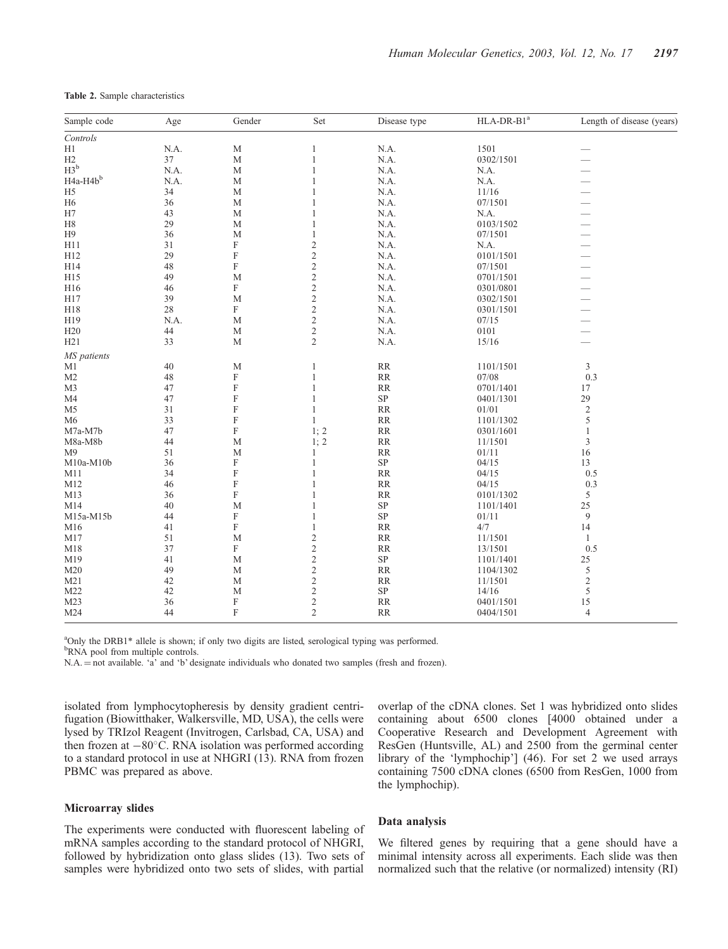| Table 2. Sample characteristics |  |
|---------------------------------|--|
|---------------------------------|--|

| Sample code          | Age    | Gender                    | Set                     | Disease type                                     | $HLA-DR-B1a$ | Length of disease (years) |
|----------------------|--------|---------------------------|-------------------------|--------------------------------------------------|--------------|---------------------------|
| Controls             |        |                           |                         |                                                  |              |                           |
| H1                   | N.A.   | $\mathbf M$               | 1                       | N.A.                                             | 1501         |                           |
| H2                   | 37     | $\mathbf M$               | $\mathbf{1}$            | N.A.                                             | 0302/1501    |                           |
| $H3^b$               | N.A.   | M                         | $\mathbf{1}$            | N.A.                                             | N.A.         |                           |
| H4a-H4b <sup>b</sup> | N.A.   | М                         | 1                       | N.A.                                             | N.A.         |                           |
| H <sub>5</sub>       | 34     | M                         | 1                       | N.A.                                             | 11/16        |                           |
| H <sub>6</sub>       | 36     | М                         | 1                       | N.A.                                             | 07/1501      |                           |
| H7                   | 43     | М                         | 1                       | N.A.                                             | N.A.         |                           |
| H8                   | 29     | М                         | 1                       | N.A.                                             | 0103/1502    |                           |
| H9                   | 36     | M                         | 1                       | N.A.                                             | 07/1501      |                           |
| H11                  | 31     | $\mathbf F$               | $\mathfrak{2}$          | N.A.                                             | N.A.         |                           |
| H12                  | 29     | $\mathbf F$               | $\sqrt{2}$              | N.A.                                             | 0101/1501    |                           |
| H14                  | 48     | $\rm F$                   | $\overline{c}$          | N.A.                                             | 07/1501      |                           |
| H15                  | 49     | M                         | $\overline{c}$          | N.A.                                             | 0701/1501    |                           |
| H16                  | 46     | F                         | $\overline{\mathbf{c}}$ | N.A.                                             | 0301/0801    |                           |
| H17                  | 39     | M                         | $\sqrt{2}$              | N.A.                                             | 0302/1501    |                           |
| H18                  | $28\,$ | F                         | $\overline{c}$          | N.A.                                             | 0301/1501    |                           |
| H19                  | N.A.   | M                         | $\sqrt{2}$              | N.A.                                             | 07/15        |                           |
| H20                  | 44     | $\mathbf{M}$              | $\sqrt{2}$              | N.A.                                             | 0101         |                           |
| H21                  | 33     | $\mathbf{M}$              | $\sqrt{2}$              | N.A.                                             | 15/16        |                           |
| MS patients          |        |                           |                         |                                                  |              |                           |
| M1                   | 40     | M                         | 1                       | RR                                               | 1101/1501    | 3                         |
| M <sub>2</sub>       | 48     | $\boldsymbol{\mathrm{F}}$ | $\mathbf{1}$            | RR                                               | 07/08        | 0.3                       |
| M3                   | 47     | $\mathbf F$               | 1                       | RR                                               | 0701/1401    | 17                        |
| M4                   | 47     | $\mathbf F$               | 1                       | $\mbox{SP}$                                      | 0401/1301    | 29                        |
| M <sub>5</sub>       | 31     | F                         | 1                       | RR                                               | 01/01        | $\sqrt{2}$                |
| M <sub>6</sub>       | 33     | $\mathbf F$               | 1                       | $\ensuremath{\mathsf{RR}}\xspace$                | 1101/1302    | 5                         |
| M7a-M7b              | 47     | $\mathbf F$               |                         | RR                                               | 0301/1601    | $\mathbf{1}$              |
|                      |        |                           | 1; 2<br>1; 2            | RR                                               |              | 3                         |
| M8a-M8b              | 44     | M                         |                         |                                                  | 11/1501      |                           |
| M <sup>9</sup>       | 51     | M                         | $\mathbf{1}$            | <b>RR</b>                                        | 01/11        | 16                        |
| $M10a-M10b$          | 36     | F                         | 1                       | $\ensuremath{\mathsf{S}}\ensuremath{\mathsf{P}}$ | 04/15        | 13                        |
| M11                  | 34     | ${\bf F}$                 | $\mathbf{1}$            | $\ensuremath{\mathsf{RR}}\xspace$                | 04/15        | 0.5                       |
| M12                  | 46     | $\mathbf F$               | 1                       | RR                                               | 04/15        | 0.3                       |
| M13                  | 36     | $\boldsymbol{\mathrm{F}}$ | $\mathbf{1}$            | RR                                               | 0101/1302    | 5                         |
| M14                  | 40     | $\mathbf{M}$              | $\mathbf{1}$            | $\ensuremath{\mathrm{S}}\ensuremath{\mathrm{P}}$ | 1101/1401    | $25\,$                    |
| M15a-M15b            | 44     | $\mathbf F$               | $\mathbf{1}$            | ${\rm SP}$                                       | 01/11        | 9                         |
| M16                  | 41     | ${\bf F}$                 | $\mathbf{1}$            | $\ensuremath{\mathsf{RR}}\xspace$                | 4/7          | 14                        |
| M17                  | 51     | $\mathbf{M}$              | $\sqrt{2}$              | $\ensuremath{\mathsf{RR}}\xspace$                | 11/1501      | $\mathbf{1}$              |
| M18                  | 37     | $\mathbf F$               | $\overline{c}$          | RR                                               | 13/1501      | 0.5                       |
| M19                  | 41     | M                         | $\overline{c}$          | $\mbox{SP}$                                      | 1101/1401    | 25                        |
| M20                  | 49     | $\mathbf M$               | $\sqrt{2}$              | RR                                               | 1104/1302    | $\mathfrak s$             |
| M21                  | 42     | $\mathbf M$               | $\overline{c}$          | RR                                               | 11/1501      | $\overline{c}$            |
| M22                  | 42     | M                         | $\sqrt{2}$              | ${\rm SP}$                                       | 14/16        | 5                         |
| M23                  | 36     | $\boldsymbol{\mathrm{F}}$ | $\overline{c}$          | $\ensuremath{\mathsf{RR}}\xspace$                | 0401/1501    | 15                        |
| M24                  | 44     | $\mathbf F$               | $\overline{2}$          | RR                                               | 0404/1501    | $\overline{4}$            |

<sup>a</sup>Only the DRB1<sup>\*</sup> allele is shown; if only two digits are listed, serological typing was performed.

<sup>b</sup>RNA pool from multiple controls.

 $N.A. =$ not available. 'a' and 'b' designate individuals who donated two samples (fresh and frozen).

isolated from lymphocytopheresis by density gradient centrifugation (Biowitthaker, Walkersville, MD, USA), the cells were lysed by TRIzol Reagent (Invitrogen, Carlsbad, CA, USA) and then frozen at  $-80^{\circ}$ C. RNA isolation was performed according to a standard protocol in use at NHGRI (13). RNA from frozen PBMC was prepared as above.

### Microarray slides

The experiments were conducted with fluorescent labeling of mRNA samples according to the standard protocol of NHGRI, followed by hybridization onto glass slides (13). Two sets of samples were hybridized onto two sets of slides, with partial

overlap of the cDNA clones. Set 1 was hybridized onto slides containing about 6500 clones [4000 obtained under a Cooperative Research and Development Agreement with ResGen (Huntsville, AL) and 2500 from the germinal center library of the 'lymphochip'] (46). For set 2 we used arrays containing 7500 cDNA clones (6500 from ResGen, 1000 from the lymphochip).

#### Data analysis

We filtered genes by requiring that a gene should have a minimal intensity across all experiments. Each slide was then normalized such that the relative (or normalized) intensity (RI)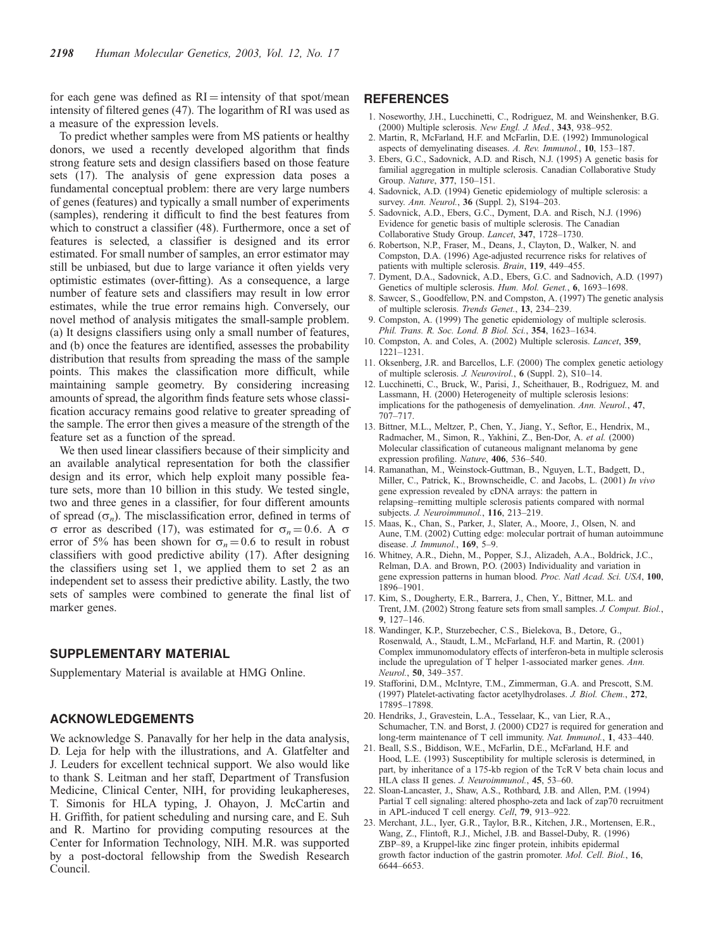for each gene was defined as  $RI =$  intensity of that spot/mean intensity of filtered genes (47). The logarithm of RI was used as a measure of the expression levels.

To predict whether samples were from MS patients or healthy donors, we used a recently developed algorithm that finds strong feature sets and design classifiers based on those feature sets (17). The analysis of gene expression data poses a fundamental conceptual problem: there are very large numbers of genes (features) and typically a small number of experiments (samples), rendering it difficult to find the best features from which to construct a classifier (48). Furthermore, once a set of features is selected, a classifier is designed and its error estimated. For small number of samples, an error estimator may still be unbiased, but due to large variance it often yields very optimistic estimates (over-fitting). As a consequence, a large number of feature sets and classifiers may result in low error estimates, while the true error remains high. Conversely, our novel method of analysis mitigates the small-sample problem. (a) It designs classifiers using only a small number of features, and (b) once the features are identified, assesses the probability distribution that results from spreading the mass of the sample points. This makes the classification more difficult, while maintaining sample geometry. By considering increasing amounts of spread, the algorithm finds feature sets whose classification accuracy remains good relative to greater spreading of the sample. The error then gives a measure of the strength of the feature set as a function of the spread.

We then used linear classifiers because of their simplicity and an available analytical representation for both the classifier design and its error, which help exploit many possible feature sets, more than 10 billion in this study. We tested single, two and three genes in a classifier, for four different amounts of spread  $(\sigma_n)$ . The misclassification error, defined in terms of  $\sigma$  error as described (17), was estimated for  $\sigma_n = 0.6$ . A  $\sigma$ error of 5% has been shown for  $\sigma_n = 0.6$  to result in robust classifiers with good predictive ability (17). After designing the classifiers using set 1, we applied them to set 2 as an independent set to assess their predictive ability. Lastly, the two sets of samples were combined to generate the final list of marker genes.

## SUPPLEMENTARY MATERIAL

Supplementary Material is available at HMG Online.

## ACKNOWLEDGEMENTS

We acknowledge S. Panavally for her help in the data analysis, D. Leja for help with the illustrations, and A. Glatfelter and J. Leuders for excellent technical support. We also would like to thank S. Leitman and her staff, Department of Transfusion Medicine, Clinical Center, NIH, for providing leukaphereses, T. Simonis for HLA typing, J. Ohayon, J. McCartin and H. Griffith, for patient scheduling and nursing care, and E. Suh and R. Martino for providing computing resources at the Center for Information Technology, NIH. M.R. was supported by a post-doctoral fellowship from the Swedish Research Council.

#### **REFERENCES**

- 1. Noseworthy, J.H., Lucchinetti, C., Rodriguez, M. and Weinshenker, B.G. (2000) Multiple sclerosis. New Engl. J. Med., 343, 938–952.
- 2. Martin, R, McFarland, H.F. and McFarlin, D.E. (1992) Immunological aspects of demyelinating diseases. A. Rev. Immunol., 10, 153–187.
- 3. Ebers, G.C., Sadovnick, A.D. and Risch, N.J. (1995) A genetic basis for familial aggregation in multiple sclerosis. Canadian Collaborative Study Group. Nature, 377, 150–151.
- 4. Sadovnick, A.D. (1994) Genetic epidemiology of multiple sclerosis: a survey. Ann. Neurol., 36 (Suppl. 2), S194–203.
- 5. Sadovnick, A.D., Ebers, G.C., Dyment, D.A. and Risch, N.J. (1996) Evidence for genetic basis of multiple sclerosis. The Canadian Collaborative Study Group. Lancet, 347, 1728–1730.
- 6. Robertson, N.P., Fraser, M., Deans, J., Clayton, D., Walker, N. and Compston, D.A. (1996) Age-adjusted recurrence risks for relatives of patients with multiple sclerosis. Brain, 119, 449–455.
- 7. Dyment, D.A., Sadovnick, A.D., Ebers, G.C. and Sadnovich, A.D. (1997) Genetics of multiple sclerosis. Hum. Mol. Genet., 6, 1693–1698.
- 8. Sawcer, S., Goodfellow, P.N. and Compston, A. (1997) The genetic analysis of multiple sclerosis. Trends Genet., 13, 234–239.
- 9. Compston, A. (1999) The genetic epidemiology of multiple sclerosis. Phil. Trans. R. Soc. Lond. B Biol. Sci., 354, 1623–1634.
- 10. Compston, A. and Coles, A. (2002) Multiple sclerosis. Lancet, 359, 1221–1231.
- 11. Oksenberg, J.R. and Barcellos, L.F. (2000) The complex genetic aetiology of multiple sclerosis. *J. Neurovirol.*,  $\dot{\bf{6}}$  (Suppl. 2), S10–14.
- 12. Lucchinetti, C., Bruck, W., Parisi, J., Scheithauer, B., Rodriguez, M. and Lassmann, H. (2000) Heterogeneity of multiple sclerosis lesions: implications for the pathogenesis of demyelination. Ann. Neurol., 47, 707–717.
- 13. Bittner, M.L., Meltzer, P., Chen, Y., Jiang, Y., Seftor, E., Hendrix, M., Radmacher, M., Simon, R., Yakhini, Z., Ben-Dor, A. et al. (2000) Molecular classification of cutaneous malignant melanoma by gene expression profiling. Nature, 406, 536–540.
- 14. Ramanathan, M., Weinstock-Guttman, B., Nguyen, L.T., Badgett, D., Miller, C., Patrick, K., Brownscheidle, C. and Jacobs, L. (2001) In vivo gene expression revealed by cDNA arrays: the pattern in relapsing–remitting multiple sclerosis patients compared with normal subjects. J. Neuroimmunol., 116, 213-219.
- 15. Maas, K., Chan, S., Parker, J., Slater, A., Moore, J., Olsen, N. and Aune, T.M. (2002) Cutting edge: molecular portrait of human autoimmune disease. J. Immunol., 169, 5–9.
- 16. Whitney, A.R., Diehn, M., Popper, S.J., Alizadeh, A.A., Boldrick, J.C., Relman, D.A. and Brown, P.O. (2003) Individuality and variation in gene expression patterns in human blood. Proc. Natl Acad. Sci. USA, 100, 1896–1901.
- 17. Kim, S., Dougherty, E.R., Barrera, J., Chen, Y., Bittner, M.L. and Trent, J.M. (2002) Strong feature sets from small samples. J. Comput. Biol., 9, 127–146.
- 18. Wandinger, K.P., Sturzebecher, C.S., Bielekova, B., Detore, G., Rosenwald, A., Staudt, L.M., McFarland, H.F. and Martin, R. (2001) Complex immunomodulatory effects of interferon-beta in multiple sclerosis include the upregulation of T helper 1-associated marker genes. Ann. Neurol., 50, 349–357.
- 19. Stafforini, D.M., McIntyre, T.M., Zimmerman, G.A. and Prescott, S.M. (1997) Platelet-activating factor acetylhydrolases. J. Biol. Chem., 272, 17895–17898.
- 20. Hendriks, J., Gravestein, L.A., Tesselaar, K., van Lier, R.A., Schumacher, T.N. and Borst, J. (2000) CD27 is required for generation and long-term maintenance of T cell immunity. Nat. Immunol., 1, 433-440.
- 21. Beall, S.S., Biddison, W.E., McFarlin, D.E., McFarland, H.F. and Hood, L.E. (1993) Susceptibility for multiple sclerosis is determined, in part, by inheritance of a 175-kb region of the TcR V beta chain locus and HLA class II genes. J. Neuroimmunol., 45, 53–60.
- 22. Sloan-Lancaster, J., Shaw, A.S., Rothbard, J.B. and Allen, P.M. (1994) Partial T cell signaling: altered phospho-zeta and lack of zap70 recruitment in APL-induced T cell energy. Cell, 79, 913–922.
- 23. Merchant, J.L., Iyer, G.R., Taylor, B.R., Kitchen, J.R., Mortensen, E.R., Wang, Z., Flintoft, R.J., Michel, J.B. and Bassel-Duby, R. (1996) ZBP–89, a Kruppel-like zinc finger protein, inhibits epidermal growth factor induction of the gastrin promoter. Mol. Cell. Biol., 16, 6644–6653.